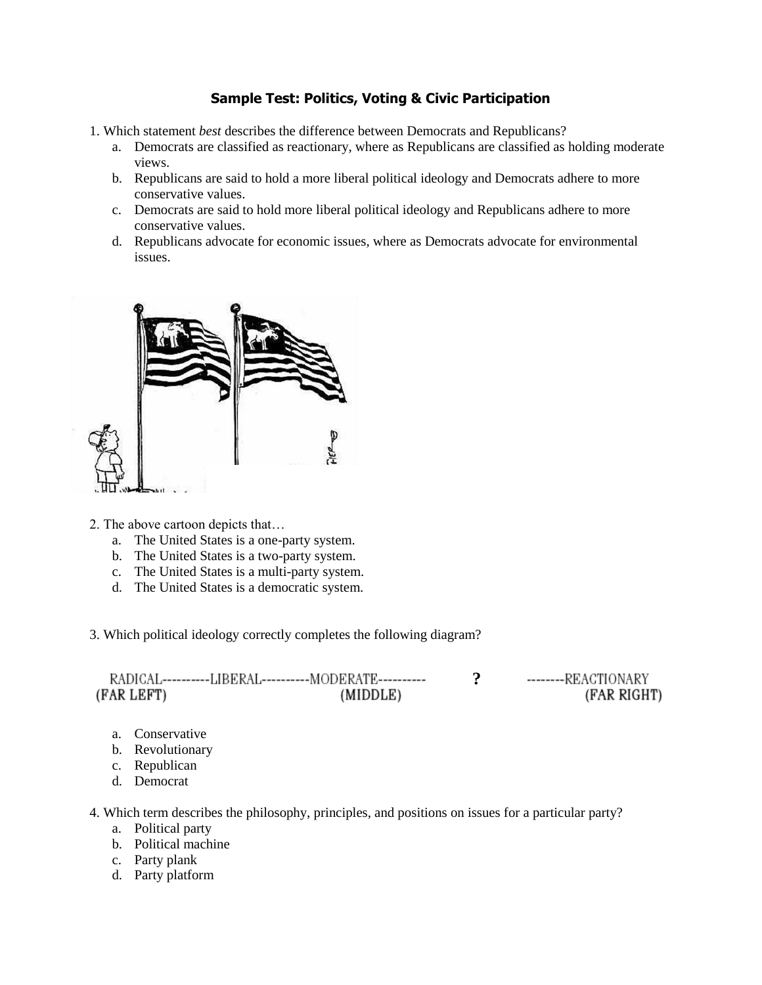## **Sample Test: Politics, Voting & Civic Participation**

- 1. Which statement *best* describes the difference between Democrats and Republicans?
	- a. Democrats are classified as reactionary, where as Republicans are classified as holding moderate views.
	- b. Republicans are said to hold a more liberal political ideology and Democrats adhere to more conservative values.
	- c. Democrats are said to hold more liberal political ideology and Republicans adhere to more conservative values.
	- d. Republicans advocate for economic issues, where as Democrats advocate for environmental issues.



- 2. The above cartoon depicts that…
	- a. The United States is a one-party system.
	- b. The United States is a two-party system.
	- c. The United States is a multi-party system.
	- d. The United States is a democratic system.
- 3. Which political ideology correctly completes the following diagram?

|            | RADICAL----------LIBERAL----------MODERATE---------- | --------REACTIONARY |
|------------|------------------------------------------------------|---------------------|
| (FAR LEFT) | (MIDDLE)                                             | (FAR RIGHT)         |

- a. Conservative
- b. Revolutionary
- c. Republican
- d. Democrat

4. Which term describes the philosophy, principles, and positions on issues for a particular party?

- a. Political party
- b. Political machine
- c. Party plank
- d. Party platform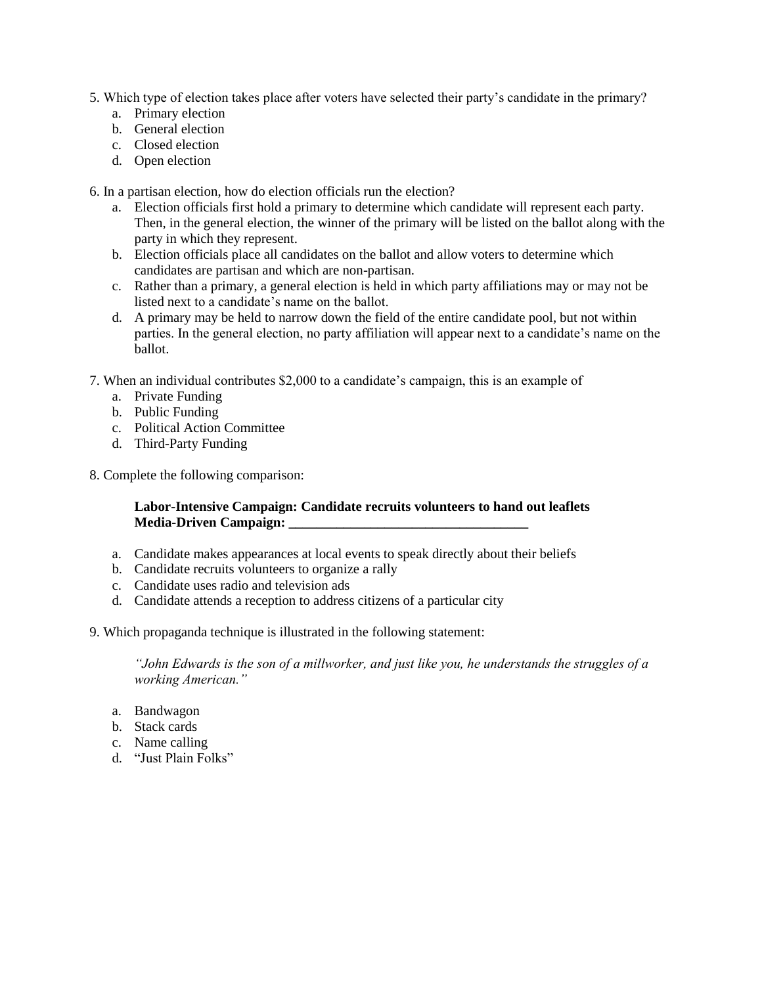- 5. Which type of election takes place after voters have selected their party's candidate in the primary?
	- a. Primary election
	- b. General election
	- c. Closed election
	- d. Open election

6. In a partisan election, how do election officials run the election?

- a. Election officials first hold a primary to determine which candidate will represent each party. Then, in the general election, the winner of the primary will be listed on the ballot along with the party in which they represent.
- b. Election officials place all candidates on the ballot and allow voters to determine which candidates are partisan and which are non-partisan.
- c. Rather than a primary, a general election is held in which party affiliations may or may not be listed next to a candidate's name on the ballot.
- d. A primary may be held to narrow down the field of the entire candidate pool, but not within parties. In the general election, no party affiliation will appear next to a candidate's name on the ballot.
- 7. When an individual contributes \$2,000 to a candidate's campaign, this is an example of
	- a. Private Funding
	- b. Public Funding
	- c. Political Action Committee
	- d. Third-Party Funding
- 8. Complete the following comparison:

#### **Labor-Intensive Campaign: Candidate recruits volunteers to hand out leaflets Media-Driven Campaign:**  $\blacksquare$

- a. Candidate makes appearances at local events to speak directly about their beliefs
- b. Candidate recruits volunteers to organize a rally
- c. Candidate uses radio and television ads
- d. Candidate attends a reception to address citizens of a particular city
- 9. Which propaganda technique is illustrated in the following statement:

*"John Edwards is the son of a millworker, and just like you, he understands the struggles of a working American."*

- a. Bandwagon
- b. Stack cards
- c. Name calling
- d. "Just Plain Folks"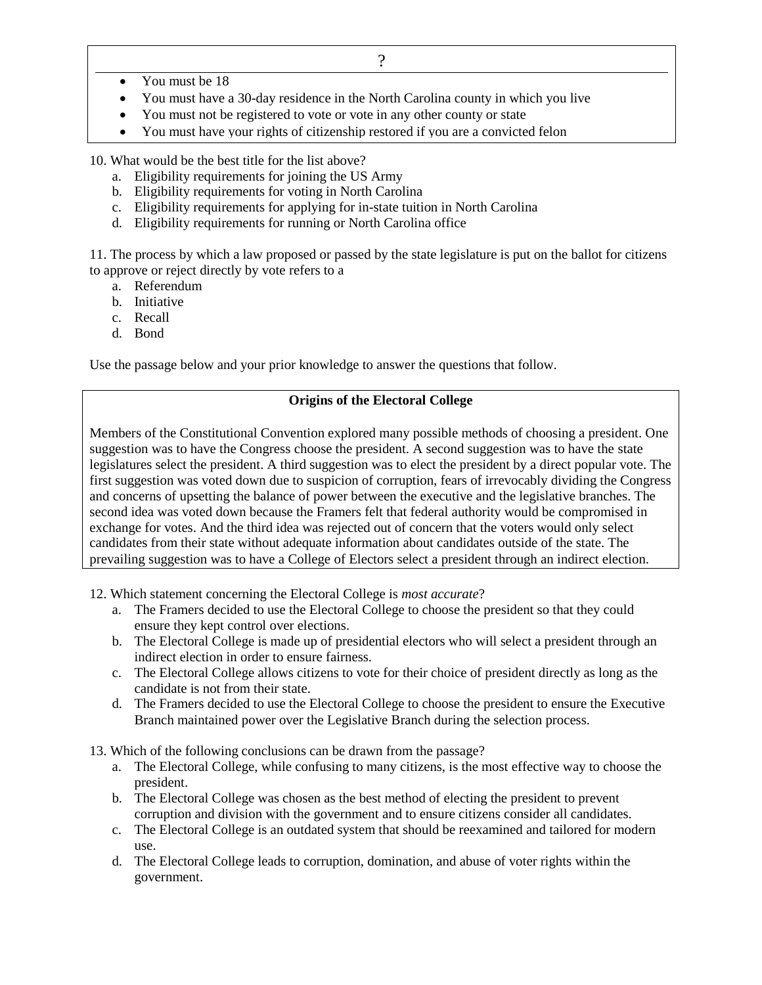- You must be 18
- You must have a 30-day residence in the North Carolina county in which you live
- You must not be registered to vote or vote in any other county or state
- You must have your rights of citizenship restored if you are a convicted felon

10. What would be the best title for the list above?

- a. Eligibility requirements for joining the US Army
- b. Eligibility requirements for voting in North Carolina
- c. Eligibility requirements for applying for in-state tuition in North Carolina
- d. Eligibility requirements for running or North Carolina office

11. The process by which a law proposed or passed by the state legislature is put on the ballot for citizens to approve or reject directly by vote refers to a

- a. Referendum
- b. Initiative
- c. Recall
- d. Bond

Use the passage below and your prior knowledge to answer the questions that follow.

#### **Origins of the Electoral College**

Members of the Constitutional Convention explored many possible methods of choosing a president. One suggestion was to have the Congress choose the president. A second suggestion was to have the state legislatures select the president. A third suggestion was to elect the president by a direct popular vote. The first suggestion was voted down due to suspicion of corruption, fears of irrevocably dividing the Congress and concerns of upsetting the balance of power between the executive and the legislative branches. The second idea was voted down because the Framers felt that federal authority would be compromised in exchange for votes. And the third idea was rejected out of concern that the voters would only select candidates from their state without adequate information about candidates outside of the state. The prevailing suggestion was to have a College of Electors select a president through an indirect election.

12. Which statement concerning the Electoral College is *most accurate*?

- a. The Framers decided to use the Electoral College to choose the president so that they could ensure they kept control over elections.
- b. The Electoral College is made up of presidential electors who will select a president through an indirect election in order to ensure fairness.
- c. The Electoral College allows citizens to vote for their choice of president directly as long as the candidate is not from their state.
- d. The Framers decided to use the Electoral College to choose the president to ensure the Executive Branch maintained power over the Legislative Branch during the selection process.
- 13. Which of the following conclusions can be drawn from the passage?
	- a. The Electoral College, while confusing to many citizens, is the most effective way to choose the president.
	- b. The Electoral College was chosen as the best method of electing the president to prevent corruption and division with the government and to ensure citizens consider all candidates.
	- c. The Electoral College is an outdated system that should be reexamined and tailored for modern use.
	- d. The Electoral College leads to corruption, domination, and abuse of voter rights within the government.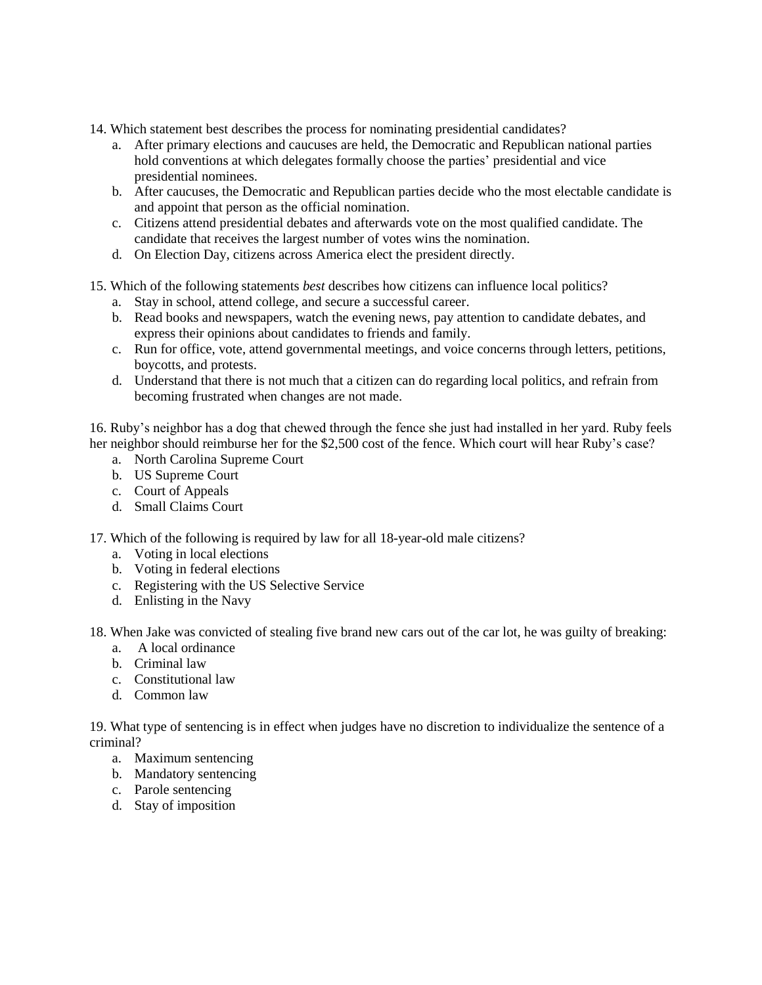- 14. Which statement best describes the process for nominating presidential candidates?
	- a. After primary elections and caucuses are held, the Democratic and Republican national parties hold conventions at which delegates formally choose the parties' presidential and vice presidential nominees.
	- b. After caucuses, the Democratic and Republican parties decide who the most electable candidate is and appoint that person as the official nomination.
	- c. Citizens attend presidential debates and afterwards vote on the most qualified candidate. The candidate that receives the largest number of votes wins the nomination.
	- d. On Election Day, citizens across America elect the president directly.
- 15. Which of the following statements *best* describes how citizens can influence local politics?
	- a. Stay in school, attend college, and secure a successful career.
	- b. Read books and newspapers, watch the evening news, pay attention to candidate debates, and express their opinions about candidates to friends and family.
	- c. Run for office, vote, attend governmental meetings, and voice concerns through letters, petitions, boycotts, and protests.
	- d. Understand that there is not much that a citizen can do regarding local politics, and refrain from becoming frustrated when changes are not made.

16. Ruby's neighbor has a dog that chewed through the fence she just had installed in her yard. Ruby feels her neighbor should reimburse her for the \$2,500 cost of the fence. Which court will hear Ruby's case?

- a. North Carolina Supreme Court
- b. US Supreme Court
- c. Court of Appeals
- d. Small Claims Court

17. Which of the following is required by law for all 18-year-old male citizens?

- a. Voting in local elections
- b. Voting in federal elections
- c. Registering with the US Selective Service
- d. Enlisting in the Navy

18. When Jake was convicted of stealing five brand new cars out of the car lot, he was guilty of breaking:

- a. A local ordinance
- b. Criminal law
- c. Constitutional law
- d. Common law

19. What type of sentencing is in effect when judges have no discretion to individualize the sentence of a criminal?

- a. Maximum sentencing
- b. Mandatory sentencing
- c. Parole sentencing
- d. Stay of imposition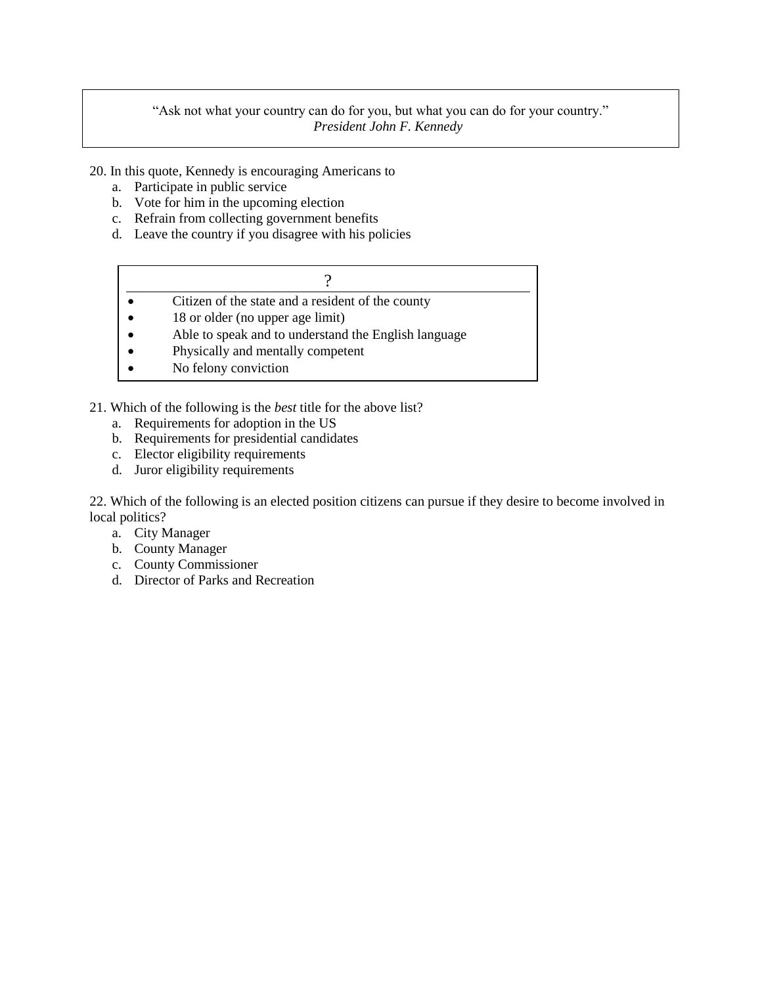### "Ask not what your country can do for you, but what you can do for your country." *President John F. Kennedy*

20. In this quote, Kennedy is encouraging Americans to

- a. Participate in public service
- b. Vote for him in the upcoming election
- c. Refrain from collecting government benefits
- d. Leave the country if you disagree with his policies

| Citizen of the state and a resident of the county |  |
|---------------------------------------------------|--|
| 18 or older (no upper age limit)                  |  |

- Able to speak and to understand the English language
- Physically and mentally competent
- No felony conviction

21. Which of the following is the *best* title for the above list?

- a. Requirements for adoption in the US
- b. Requirements for presidential candidates
- c. Elector eligibility requirements
- d. Juror eligibility requirements

22. Which of the following is an elected position citizens can pursue if they desire to become involved in local politics?

- a. City Manager
- b. County Manager
- c. County Commissioner
- d. Director of Parks and Recreation